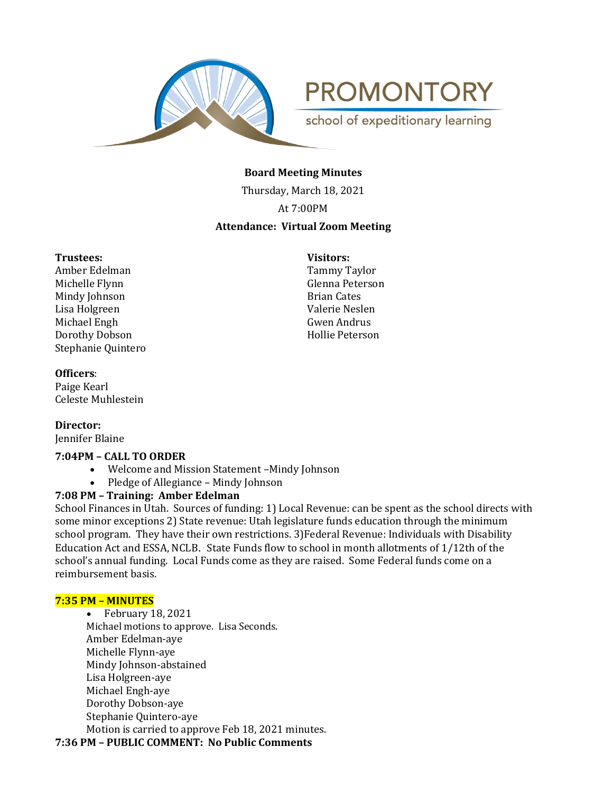

**PROMONTORY** school of expeditionary learning

# **Board Meeting Minutes**

Thursday, March 18, 2021

At 7:00PM

# **Attendance: Virtual Zoom Meeting**

### **Trustees: Visitors:**

Amber Edelman Tammy Taylor Michelle Flynn Glenna Peterson Mindy Johnson **Brian Cates** Lisa Holgreen Valerie Neslen Michael Engh<br>
Gwen Andrus Dorothy Dobson Hollie Peterson Stephanie Quintero

# **Officers**:

Paige Kearl Celeste Muhlestein

**Director:**  Jennifer Blaine

# **7:04PM – CALL TO ORDER**

- Welcome and Mission Statement –Mindy Johnson
- Pledge of Allegiance Mindy Johnson

## **7:08 PM – Training: Amber Edelman**

School Finances in Utah. Sources of funding: 1) Local Revenue: can be spent as the school directs with some minor exceptions 2) State revenue: Utah legislature funds education through the minimum school program. They have their own restrictions. 3)Federal Revenue: Individuals with Disability Education Act and ESSA, NCLB. State Funds flow to school in month allotments of 1/12th of the school's annual funding. Local Funds come as they are raised. Some Federal funds come on a reimbursement basis.

### **7:35 PM – MINUTES**

• February 18, 2021 Michael motions to approve. Lisa Seconds. Amber Edelman-aye Michelle Flynn-aye Mindy Johnson-abstained Lisa Holgreen-aye Michael Engh-aye Dorothy Dobson-aye Stephanie Quintero-aye Motion is carried to approve Feb 18, 2021 minutes.

**7:36 PM – PUBLIC COMMENT: No Public Comments**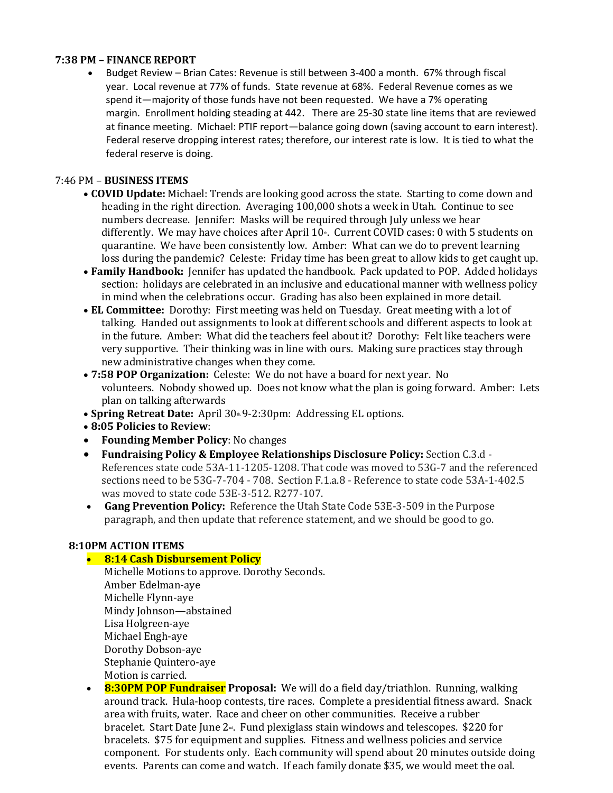## **7:38 PM – FINANCE REPORT**

• Budget Review – Brian Cates: Revenue is still between 3-400 a month. 67% through fiscal year. Local revenue at 77% of funds. State revenue at 68%. Federal Revenue comes as we spend it—majority of those funds have not been requested. We have a 7% operating margin. Enrollment holding steading at 442. There are 25-30 state line items that are reviewed at finance meeting. Michael: PTIF report—balance going down (saving account to earn interest). Federal reserve dropping interest rates; therefore, our interest rate is low. It is tied to what the federal reserve is doing.

## 7:46 PM – **BUSINESS ITEMS**

- **COVID Update:** Michael: Trends are looking good across the state. Starting to come down and heading in the right direction. Averaging 100,000 shots a week in Utah. Continue to see numbers decrease. Jennifer: Masks will be required through July unless we hear differently. We may have choices after April  $10<sup>th</sup>$ . Current COVID cases: 0 with 5 students on quarantine. We have been consistently low. Amber: What can we do to prevent learning loss during the pandemic? Celeste: Friday time has been great to allow kids to get caught up.
- **Family Handbook:** Jennifer has updated the handbook. Pack updated to POP. Added holidays section: holidays are celebrated in an inclusive and educational manner with wellness policy in mind when the celebrations occur. Grading has also been explained in more detail.
- **EL Committee:** Dorothy: First meeting was held on Tuesday. Great meeting with a lot of talking. Handed out assignments to look at different schools and different aspects to look at in the future. Amber: What did the teachers feel about it? Dorothy: Felt like teachers were very supportive. Their thinking was in line with ours. Making sure practices stay through new administrative changes when they come.
- **7:58 POP Organization:** Celeste: We do not have a board for next year. No volunteers. Nobody showed up. Does not know what the plan is going forward. Amber: Lets plan on talking afterwards
- **Spring Retreat Date:** April 30<sup>th</sup>. 9-2:30pm: Addressing EL options.
- **8:05 Policies to Review**:
- **Founding Member Policy**: No changes
- **Fundraising Policy & Employee Relationships Disclosure Policy:** Section C.3.d References state code 53A-11-1205-1208. That code was moved to 53G-7 and the referenced sections need to be 53G-7-704 - 708. Section F.1.a.8 - Reference to state code 53A-1-402.5 was moved to state code 53E-3-512. R277-107.
- **Gang Prevention Policy:** Reference the Utah State Code 53E-3-509 in the Purpose paragraph, and then update that reference statement, and we should be good to go.

### **8:10PM ACTION ITEMS**

### • **8:14 Cash Disbursement Policy**

- Michelle Motions to approve. Dorothy Seconds. Amber Edelman-aye Michelle Flynn-aye Mindy Johnson—abstained Lisa Holgreen-aye Michael Engh-aye Dorothy Dobson-aye Stephanie Quintero-aye Motion is carried.
- **8:30PM POP Fundraiser Proposal:** We will do a field day/triathlon. Running, walking around track. Hula-hoop contests, tire races. Complete a presidential fitness award. Snack area with fruits, water. Race and cheer on other communities. Receive a rubber bracelet. Start Date June 2<sup>nd</sup>. Fund plexiglass stain windows and telescopes. \$220 for bracelets. \$75 for equipment and supplies. Fitness and wellness policies and service component. For students only. Each community will spend about 20 minutes outside doing events. Parents can come and watch. If each family donate \$35, we would meet the oal.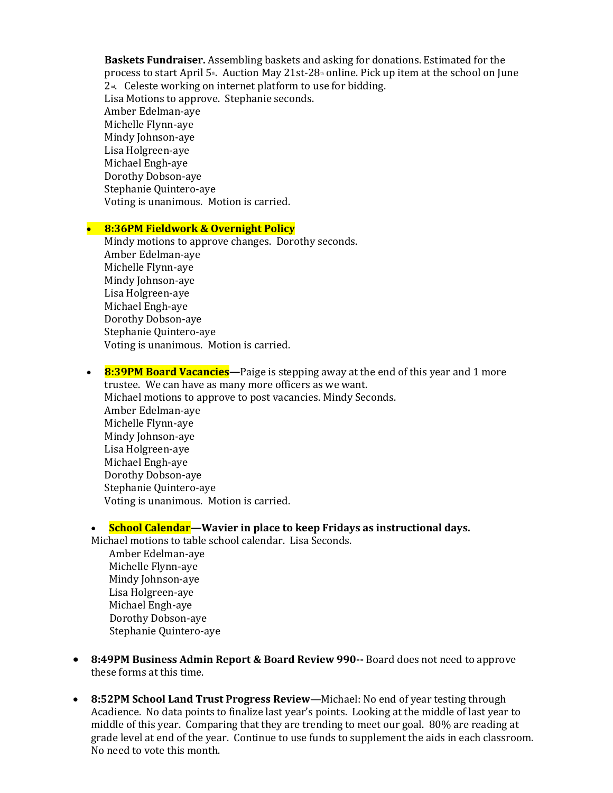**Baskets Fundraiser.** Assembling baskets and asking for donations. Estimated for the process to start April  $5^{\omega}$ . Auction May 21st-28<sup> $\omega$ </sup> online. Pick up item at the school on June  $2<sup>nd</sup>$ . Celeste working on internet platform to use for bidding. Lisa Motions to approve. Stephanie seconds. Amber Edelman-aye Michelle Flynn-aye Mindy Johnson-aye Lisa Holgreen-aye Michael Engh-aye Dorothy Dobson-aye Stephanie Quintero-aye Voting is unanimous. Motion is carried.

#### • **8:36PM Fieldwork & Overnight Policy**

Mindy motions to approve changes. Dorothy seconds. Amber Edelman-aye Michelle Flynn-aye Mindy Johnson-aye Lisa Holgreen-aye Michael Engh-aye Dorothy Dobson-aye Stephanie Quintero-aye Voting is unanimous. Motion is carried.

• **8:39PM Board Vacancies—**Paige is stepping away at the end of this year and 1 more trustee. We can have as many more officers as we want. Michael motions to approve to post vacancies. Mindy Seconds. Amber Edelman-aye Michelle Flynn-aye Mindy Johnson-aye Lisa Holgreen-aye Michael Engh-aye Dorothy Dobson-aye Stephanie Quintero-aye Voting is unanimous. Motion is carried.

## • **School Calendar—Wavier in place to keep Fridays as instructional days.**

- Michael motions to table school calendar. Lisa Seconds. Amber Edelman-aye Michelle Flynn-aye Mindy Johnson-aye Lisa Holgreen-aye Michael Engh-aye Dorothy Dobson-aye Stephanie Quintero-aye
- **8:49PM Business Admin Report & Board Review 990--** Board does not need to approve these forms at this time.
- **8:52PM School Land Trust Progress Review**—Michael: No end of year testing through Acadience. No data points to finalize last year's points. Looking at the middle of last year to middle of this year. Comparing that they are trending to meet our goal. 80% are reading at grade level at end of the year. Continue to use funds to supplement the aids in each classroom. No need to vote this month.